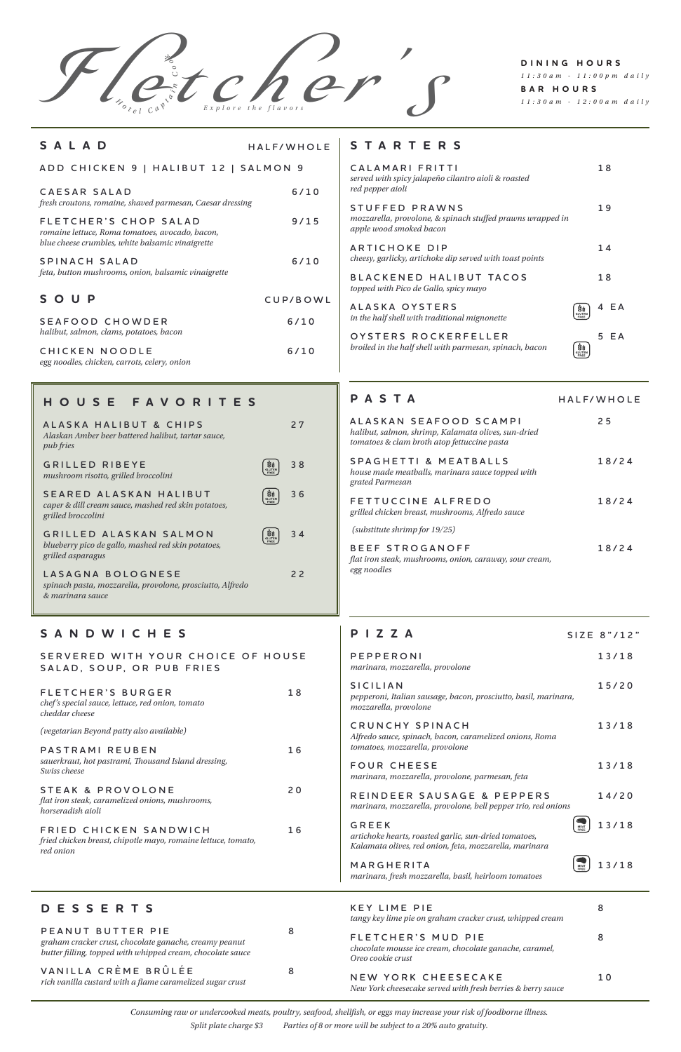F letc her 's *Explore the flavors <sup>H</sup> <sup>o</sup> <sup>t</sup> <sup>e</sup> <sup>l</sup> <sup>C</sup> <sup>a</sup> <sup>p</sup> <sup>t</sup> <sup>a</sup> <sup>i</sup> <sup>n</sup> C o <sup>o</sup> <sup>k</sup>*

## **DINING HOURS** *11:30am - 11:00pm daily* **BAR HOURS** *11:30am - 12:00am daily*

**MARGHERITA** 13/18 *marinara, fresh mozzarella, basil, heirloom tomatoes*

| $P$   Z Z A                                                                                                   | SIZE 8" / 12" |
|---------------------------------------------------------------------------------------------------------------|---------------|
| PEPPERONI<br>marinara, mozzarella, provolone                                                                  | 13/18         |
| SICILIAN<br>pepperoni, Italian sausage, bacon, prosciutto, basil, marinara,<br>mozzarella, provolone          | 15/20         |
| CRUNCHY SPINACH<br>Alfredo sauce, spinach, bacon, caramelized onions, Roma<br>tomatoes, mozzarella, provolone | 13/18         |
| <b>FOUR CHEESE</b>                                                                                            | 13/18         |

*marinara, mozzarella, provolone, parmesan, feta* 

## **REINDEER SAUSAGE & PEPPERS 14/20**

*marinara, mozzarella, provolone, bell pepper trio, red onions*





*artichoke hearts, roasted garlic, sun-dried tomatoes, Kalamata olives, red onion, feta, mozzarella, marinara*

# **STARTERS**

| CALAMARI FRITTI<br>served with spicy jalapeño cilantro aioli & roasted<br>red pepper aioli              | 18       |
|---------------------------------------------------------------------------------------------------------|----------|
| STUFFED PRAWNS<br>mozzarella, provolone, & spinach stuffed prawns wrapped in<br>apple wood smoked bacon | 19       |
| ARTICHOKE DIP<br>cheesy, garlicky, artichoke dip served with toast points                               | 14       |
| BLACKENED HALIBUT TACOS<br>topped with Pico de Gallo, spicy mayo                                        | 18       |
| ALASKA OYSTERS<br>Šģ<br><b>GLUTEN</b><br>in the half shell with traditional mignonette<br>FREE          | E A<br>4 |
| OYSTERS ROCKERFELLER<br>broiled in the half shell with parmesan, spinach, bacon<br>uš<br>GLUTEN<br>FREE | E A<br>5 |

## **SANDWICHES**

|  |                           | SERVERED WITH YOUR CHOICE OF HOUSE |  |
|--|---------------------------|------------------------------------|--|
|  | SALAD, SOUP, OR PUB FRIES |                                    |  |

| FLETCHER'S BURGER                                | 18 |
|--------------------------------------------------|----|
| chef's special sauce, lettuce, red onion, tomato |    |
| cheddar cheese                                   |    |

*(vegetarian Beyond patty also available)*

| PASTRAMI REUBEN                                     | 16 |
|-----------------------------------------------------|----|
| sauerkraut, hot pastrami, Thousand Island dressing, |    |

*Swiss cheese*

### STEAK & PROVOLONE 20

*flat iron steak, caramelized onions, mushrooms, horseradish aioli*

#### **FRIED CHICKEN SANDWICH 16**

*fried chicken breast, chipotle mayo, romaine lettuce, tomato, red onion*

# **HOUSE FAVORITES**

| ALASKA HALIBUT & CHIPS<br>Alaskan Amber beer battered halibut, tartar sauce,<br><i>pub fries</i>    |                             | 27 |
|-----------------------------------------------------------------------------------------------------|-----------------------------|----|
| <b>GRILLED RIBEYE</b><br>mushroom risotto, grilled broccolini                                       | VI<br><b>GLUTEN</b><br>FREE | 38 |
| SEARED ALASKAN HALIBUT<br>caper & dill cream sauce, mashed red skin potatoes,<br>grilled broccolini | GLUTEN                      | 36 |
| GRILLED ALASKAN SALMON<br>blueberry pico de gallo, mashed red skin potatoes,<br>grilled asparagus   | <b>SELUTEN</b>              | 34 |
| LASAGNA BOLOGNESE<br>spinach pasta, mozzarella, provolone, prosciutto, Alfredo                      |                             | 22 |

*& marinara sauce*

# **DESSERTS**

#### **PEANUT BUTTER PIE** 8

*graham cracker crust, chocolate ganache, creamy peanut butter filling, topped with whipped cream, chocolate sauce*

# **V A N I L L A C R È M E B R Û L É E 8**

*rich vanilla custard with a flame caramelized sugar crust* 

| <b>KEY LIME PIE</b><br>tangy key lime pie on graham cracker crust, whipped cream                   |   |
|----------------------------------------------------------------------------------------------------|---|
| FLETCHER'S MUD PIE<br>chocolate mousse ice cream, chocolate ganache, caramel,<br>Oreo cookie crust | 8 |
| NEW YORK CHEESECAKE                                                                                |   |

*New York cheesecake served with fresh berries & berry sauce*

| SALAD                                                                                                                        | HALF/WHOLE |
|------------------------------------------------------------------------------------------------------------------------------|------------|
| ADD CHICKEN 9   HALIBUT 12   SALMON 9                                                                                        |            |
| CAESAR SALAD<br>fresh croutons, romaine, shaved parmesan, Caesar dressing                                                    | 6/10       |
| FLETCHER'S CHOP SALAD<br>romaine lettuce, Roma tomatoes, avocado, bacon,<br>blue cheese crumbles, white balsamic vinaigrette | 9/15       |
| SPINACH SALAD<br>feta, button mushrooms, onion, balsamic vinaigrette                                                         | 6/10       |
| SOUP                                                                                                                         | CUP/BOWL   |
| SEAFOOD CHOWDER<br>halibut, salmon, clams, potatoes, bacon                                                                   | $6/10$     |
| CHICKEN NOODLE<br>egg noodles, chicken, carrots, celery, onion                                                               | 6/10       |

## **PASTA**

| ALASKAN SEAFOOD SCAMPI<br>halibut, salmon, shrimp, Kalamata olives, sun-dried<br>tomatoes & clam broth atop fettuccine pasta | 25    |
|------------------------------------------------------------------------------------------------------------------------------|-------|
| SPAGHETTI & MEATBALLS<br>house made meatballs, marinara sauce topped with<br>grated Parmesan                                 | 18/24 |
| FETTUCCINE ALFREDO<br>grilled chicken breast, mushrooms, Alfredo sauce                                                       | 18/24 |
| (substitute shrimp for $19/25$ )                                                                                             |       |
| BEEF STROGANOFF<br>flat iron steak, mushrooms, onion, caraway, sour cream,<br>egg noodles                                    | 18/24 |

**HALF/WHOLE**

*Consuming raw or undercooked meats, poultry, seafood, shellfish, or eggs may increase your risk of foodborne illness.*

*Split plate charge \$3 Parties of 8 or more will be subject to a 20% auto gratuity.*